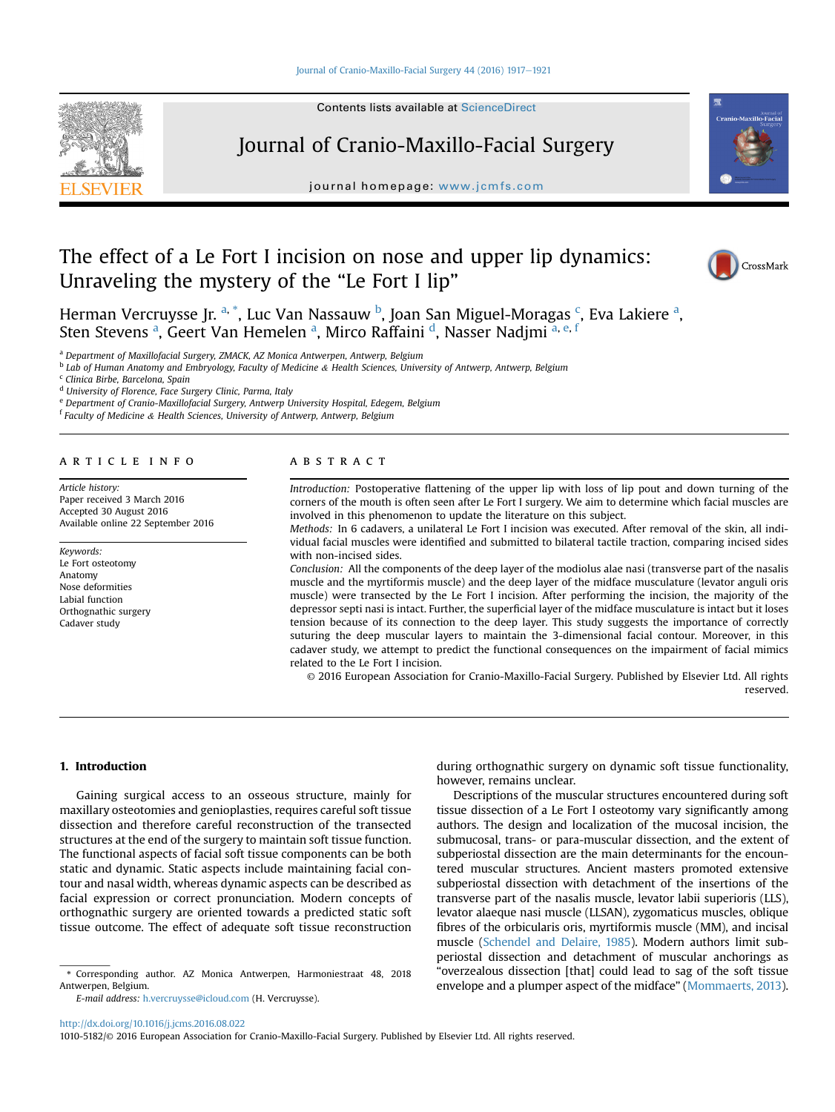#### [Journal of Cranio-Maxillo-Facial Surgery 44 \(2016\) 1917](http://dx.doi.org/10.1016/j.jcms.2016.08.022)-[1921](http://dx.doi.org/10.1016/j.jcms.2016.08.022)



Contents lists available at ScienceDirect

## Journal of Cranio-Maxillo-Facial Surgery

journal homepage: [www.jcmfs.com](http://www.jcmfs.com)

# The effect of a Le Fort I incision on nose and upper lip dynamics: Unraveling the mystery of the "Le Fort I lip"



CrossMark

Herman Vercruysse Jr. <sup>a, \*</sup>, Luc Van Nassauw <sup>b</sup>, Joan San Miguel-Moragas <sup>c</sup>, Eva Lakiere <sup>a</sup>, Sten Stevens <sup>a</sup>, Geert Van Hemelen <sup>a</sup>, Mirco Raffaini <sup>d</sup>, Nasser Nadjmi <sup>a, e, f</sup>

<sup>a</sup> Department of Maxillofacial Surgery, ZMACK, AZ Monica Antwerpen, Antwerp, Belgium

<sup>b</sup> Lab of Human Anatomy and Embryology, Faculty of Medicine & Health Sciences, University of Antwerp, Antwerp, Belgium

<sup>c</sup> Clinica Birbe, Barcelona, Spain

<sup>d</sup> University of Florence, Face Surgery Clinic, Parma, Italy

<sup>e</sup> Department of Cranio-Maxillofacial Surgery, Antwerp University Hospital, Edegem, Belgium

<sup>f</sup> Faculty of Medicine & Health Sciences, University of Antwerp, Antwerp, Belgium

## article info

Article history: Paper received 3 March 2016 Accepted 30 August 2016 Available online 22 September 2016

Keywords: Le Fort osteotomy Anatomy Nose deformities Labial function Orthognathic surgery Cadaver study

#### **ABSTRACT**

Introduction: Postoperative flattening of the upper lip with loss of lip pout and down turning of the corners of the mouth is often seen after Le Fort I surgery. We aim to determine which facial muscles are involved in this phenomenon to update the literature on this subject.

Methods: In 6 cadavers, a unilateral Le Fort I incision was executed. After removal of the skin, all individual facial muscles were identified and submitted to bilateral tactile traction, comparing incised sides with non-incised sides.

Conclusion: All the components of the deep layer of the modiolus alae nasi (transverse part of the nasalis muscle and the myrtiformis muscle) and the deep layer of the midface musculature (levator anguli oris muscle) were transected by the Le Fort I incision. After performing the incision, the majority of the depressor septi nasi is intact. Further, the superficial layer of the midface musculature is intact but it loses tension because of its connection to the deep layer. This study suggests the importance of correctly suturing the deep muscular layers to maintain the 3-dimensional facial contour. Moreover, in this cadaver study, we attempt to predict the functional consequences on the impairment of facial mimics related to the Le Fort I incision.

© 2016 European Association for Cranio-Maxillo-Facial Surgery. Published by Elsevier Ltd. All rights reserved.

1. Introduction

Gaining surgical access to an osseous structure, mainly for maxillary osteotomies and genioplasties, requires careful soft tissue dissection and therefore careful reconstruction of the transected structures at the end of the surgery to maintain soft tissue function. The functional aspects of facial soft tissue components can be both static and dynamic. Static aspects include maintaining facial contour and nasal width, whereas dynamic aspects can be described as facial expression or correct pronunciation. Modern concepts of orthognathic surgery are oriented towards a predicted static soft tissue outcome. The effect of adequate soft tissue reconstruction

E-mail address: [h.vercruysse@icloud.com](mailto:h.vercruysse@icloud.com) (H. Vercruysse).

during orthognathic surgery on dynamic soft tissue functionality, however, remains unclear.

Descriptions of the muscular structures encountered during soft tissue dissection of a Le Fort I osteotomy vary significantly among authors. The design and localization of the mucosal incision, the submucosal, trans- or para-muscular dissection, and the extent of subperiostal dissection are the main determinants for the encountered muscular structures. Ancient masters promoted extensive subperiostal dissection with detachment of the insertions of the transverse part of the nasalis muscle, levator labii superioris (LLS), levator alaeque nasi muscle (LLSAN), zygomaticus muscles, oblique fibres of the orbicularis oris, myrtiformis muscle (MM), and incisal muscle ([Schendel and Delaire, 1985](#page-4-0)). Modern authors limit subperiostal dissection and detachment of muscular anchorings as "overzealous dissection [that] could lead to sag of the soft tissue envelope and a plumper aspect of the midface" [\(Mommaerts, 2013\)](#page-4-0).

<http://dx.doi.org/10.1016/j.jcms.2016.08.022>

1010-5182/© 2016 European Association for Cranio-Maxillo-Facial Surgery. Published by Elsevier Ltd. All rights reserved.

<sup>\*</sup> Corresponding author. AZ Monica Antwerpen, Harmoniestraat 48, 2018 Antwerpen, Belgium.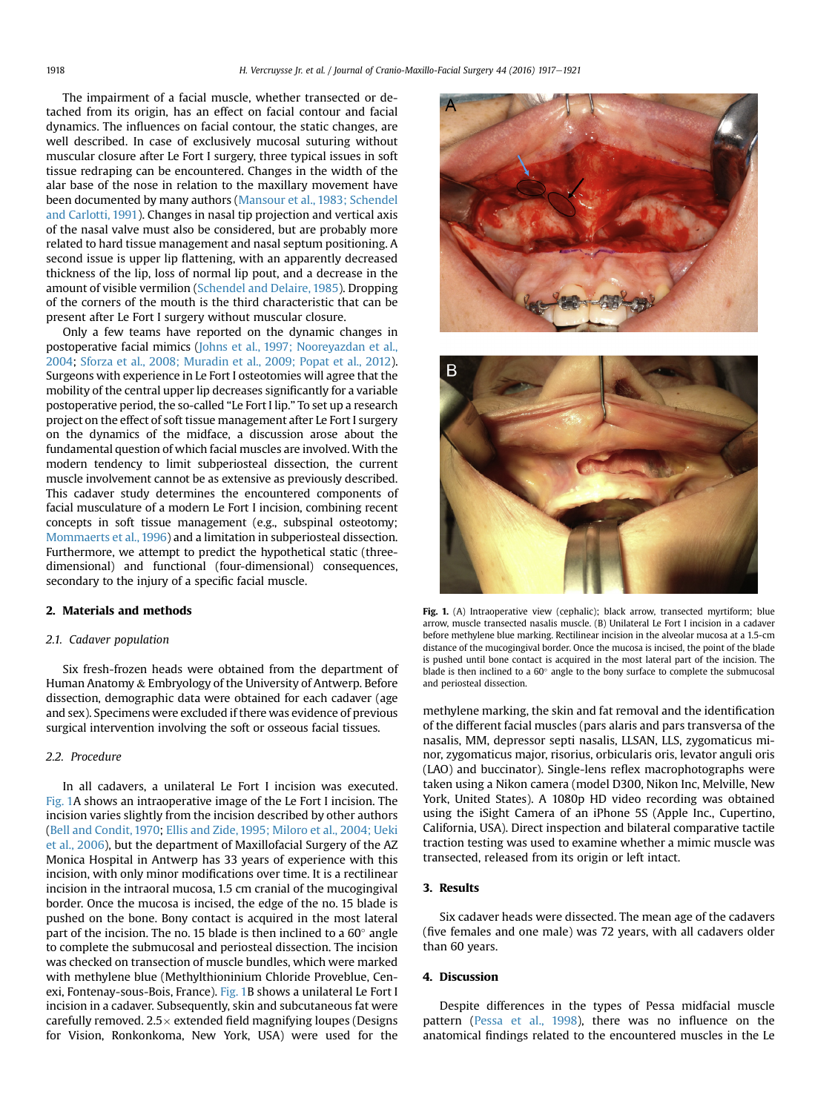<span id="page-1-0"></span>The impairment of a facial muscle, whether transected or detached from its origin, has an effect on facial contour and facial dynamics. The influences on facial contour, the static changes, are well described. In case of exclusively mucosal suturing without muscular closure after Le Fort I surgery, three typical issues in soft tissue redraping can be encountered. Changes in the width of the alar base of the nose in relation to the maxillary movement have been documented by many authors [\(Mansour et al., 1983; Schendel](#page-4-0) [and Carlotti, 1991](#page-4-0)). Changes in nasal tip projection and vertical axis of the nasal valve must also be considered, but are probably more related to hard tissue management and nasal septum positioning. A second issue is upper lip flattening, with an apparently decreased thickness of the lip, loss of normal lip pout, and a decrease in the amount of visible vermilion [\(Schendel and Delaire, 1985\)](#page-4-0). Dropping of the corners of the mouth is the third characteristic that can be present after Le Fort I surgery without muscular closure.

Only a few teams have reported on the dynamic changes in postoperative facial mimics ([Johns et al., 1997; Nooreyazdan et al.,](#page-4-0) [2004;](#page-4-0) [Sforza et al., 2008; Muradin et al., 2009; Popat et al., 2012](#page-4-0)). Surgeons with experience in Le Fort I osteotomies will agree that the mobility of the central upper lip decreases significantly for a variable postoperative period, the so-called "Le Fort I lip." To set up a research project on the effect of soft tissue management after Le Fort I surgery on the dynamics of the midface, a discussion arose about the fundamental question of which facial muscles are involved. With the modern tendency to limit subperiosteal dissection, the current muscle involvement cannot be as extensive as previously described. This cadaver study determines the encountered components of facial musculature of a modern Le Fort I incision, combining recent concepts in soft tissue management (e.g., subspinal osteotomy; [Mommaerts et al., 1996\)](#page-4-0) and a limitation in subperiosteal dissection. Furthermore, we attempt to predict the hypothetical static (threedimensional) and functional (four-dimensional) consequences, secondary to the injury of a specific facial muscle.

#### 2. Materials and methods

## 2.1. Cadaver population

Six fresh-frozen heads were obtained from the department of Human Anatomy & Embryology of the University of Antwerp. Before dissection, demographic data were obtained for each cadaver (age and sex). Specimens were excluded if there was evidence of previous surgical intervention involving the soft or osseous facial tissues.

## 2.2. Procedure

In all cadavers, a unilateral Le Fort I incision was executed. Fig. 1A shows an intraoperative image of the Le Fort I incision. The incision varies slightly from the incision described by other authors ([Bell and Condit, 1970;](#page-3-0) [Ellis and Zide, 1995; Miloro et al., 2004; Ueki](#page-4-0) [et al., 2006](#page-4-0)), but the department of Maxillofacial Surgery of the AZ Monica Hospital in Antwerp has 33 years of experience with this incision, with only minor modifications over time. It is a rectilinear incision in the intraoral mucosa, 1.5 cm cranial of the mucogingival border. Once the mucosa is incised, the edge of the no. 15 blade is pushed on the bone. Bony contact is acquired in the most lateral part of the incision. The no. 15 blade is then inclined to a  $60^\circ$  angle to complete the submucosal and periosteal dissection. The incision was checked on transection of muscle bundles, which were marked with methylene blue (Methylthioninium Chloride Proveblue, Cenexi, Fontenay-sous-Bois, France). Fig. 1B shows a unilateral Le Fort I incision in a cadaver. Subsequently, skin and subcutaneous fat were carefully removed.  $2.5 \times$  extended field magnifying loupes (Designs for Vision, Ronkonkoma, New York, USA) were used for the





Fig. 1. (A) Intraoperative view (cephalic); black arrow, transected myrtiform; blue arrow, muscle transected nasalis muscle. (B) Unilateral Le Fort I incision in a cadaver before methylene blue marking. Rectilinear incision in the alveolar mucosa at a 1.5-cm distance of the mucogingival border. Once the mucosa is incised, the point of the blade is pushed until bone contact is acquired in the most lateral part of the incision. The blade is then inclined to a  $60^\circ$  angle to the bony surface to complete the submucosal and periosteal dissection.

methylene marking, the skin and fat removal and the identification of the different facial muscles (pars alaris and pars transversa of the nasalis, MM, depressor septi nasalis, LLSAN, LLS, zygomaticus minor, zygomaticus major, risorius, orbicularis oris, levator anguli oris (LAO) and buccinator). Single-lens reflex macrophotographs were taken using a Nikon camera (model D300, Nikon Inc, Melville, New York, United States). A 1080p HD video recording was obtained using the iSight Camera of an iPhone 5S (Apple Inc., Cupertino, California, USA). Direct inspection and bilateral comparative tactile traction testing was used to examine whether a mimic muscle was transected, released from its origin or left intact.

## 3. Results

Six cadaver heads were dissected. The mean age of the cadavers (five females and one male) was 72 years, with all cadavers older than 60 years.

## 4. Discussion

Despite differences in the types of Pessa midfacial muscle pattern [\(Pessa et al., 1998\)](#page-4-0), there was no influence on the anatomical findings related to the encountered muscles in the Le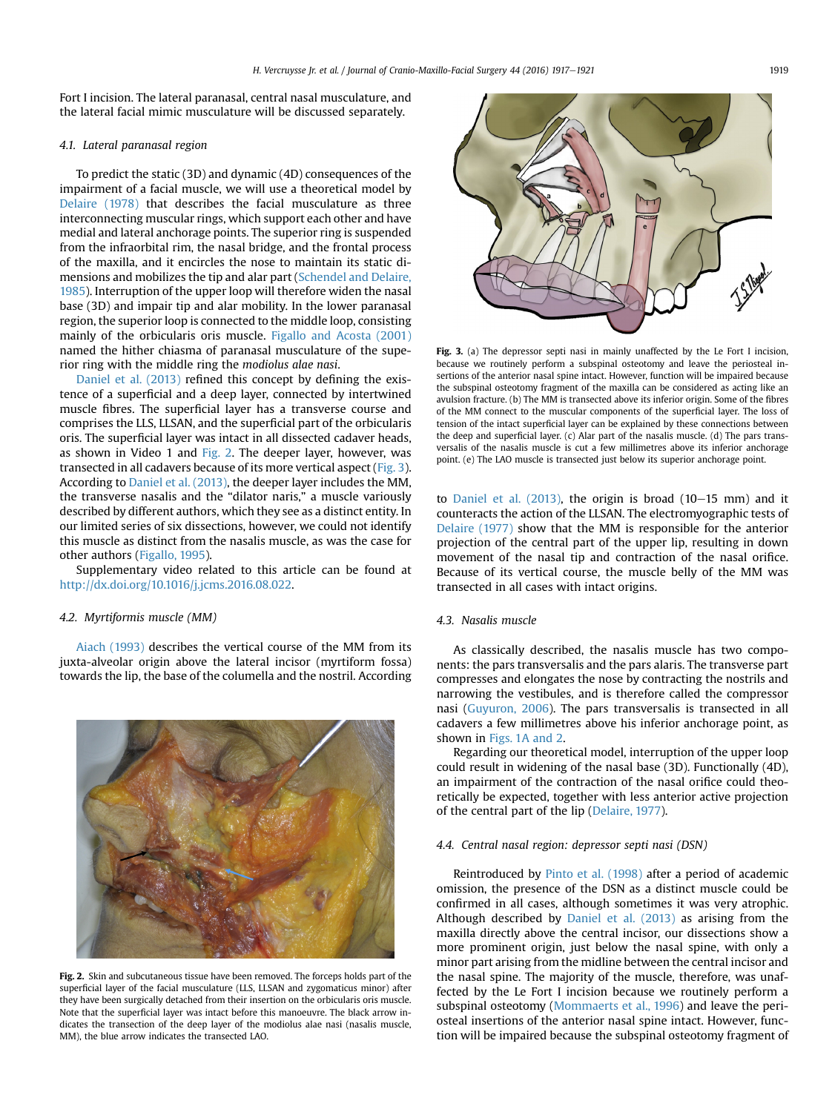<span id="page-2-0"></span>Fort I incision. The lateral paranasal, central nasal musculature, and the lateral facial mimic musculature will be discussed separately.

## 4.1. Lateral paranasal region

To predict the static (3D) and dynamic (4D) consequences of the impairment of a facial muscle, we will use a theoretical model by [Delaire \(1978\)](#page-3-0) that describes the facial musculature as three interconnecting muscular rings, which support each other and have medial and lateral anchorage points. The superior ring is suspended from the infraorbital rim, the nasal bridge, and the frontal process of the maxilla, and it encircles the nose to maintain its static dimensions and mobilizes the tip and alar part [\(Schendel and Delaire,](#page-4-0) [1985\)](#page-4-0). Interruption of the upper loop will therefore widen the nasal base (3D) and impair tip and alar mobility. In the lower paranasal region, the superior loop is connected to the middle loop, consisting mainly of the orbicularis oris muscle. [Figallo and Acosta \(2001\)](#page-4-0) named the hither chiasma of paranasal musculature of the superior ring with the middle ring the modiolus alae nasi.

[Daniel et al. \(2013\)](#page-3-0) refined this concept by defining the existence of a superficial and a deep layer, connected by intertwined muscle fibres. The superficial layer has a transverse course and comprises the LLS, LLSAN, and the superficial part of the orbicularis oris. The superficial layer was intact in all dissected cadaver heads, as shown in Video 1 and Fig. 2. The deeper layer, however, was transected in all cadavers because of its more vertical aspect (Fig. 3). According to [Daniel et al. \(2013\)](#page-3-0), the deeper layer includes the MM, the transverse nasalis and the "dilator naris," a muscle variously described by different authors, which they see as a distinct entity. In our limited series of six dissections, however, we could not identify this muscle as distinct from the nasalis muscle, as was the case for other authors [\(Figallo, 1995](#page-4-0)).

Supplementary video related to this article can be found at <http://dx.doi.org/10.1016/j.jcms.2016.08.022>.

#### 4.2. Myrtiformis muscle (MM)

[Aiach \(1993\)](#page-3-0) describes the vertical course of the MM from its juxta-alveolar origin above the lateral incisor (myrtiform fossa) towards the lip, the base of the columella and the nostril. According



Fig. 2. Skin and subcutaneous tissue have been removed. The forceps holds part of the superficial layer of the facial musculature (LLS, LLSAN and zygomaticus minor) after they have been surgically detached from their insertion on the orbicularis oris muscle. Note that the superficial layer was intact before this manoeuvre. The black arrow indicates the transection of the deep layer of the modiolus alae nasi (nasalis muscle, MM), the blue arrow indicates the transected LAO.



Fig. 3. (a) The depressor septi nasi in mainly unaffected by the Le Fort I incision, because we routinely perform a subspinal osteotomy and leave the periosteal insertions of the anterior nasal spine intact. However, function will be impaired because the subspinal osteotomy fragment of the maxilla can be considered as acting like an avulsion fracture. (b) The MM is transected above its inferior origin. Some of the fibres of the MM connect to the muscular components of the superficial layer. The loss of tension of the intact superficial layer can be explained by these connections between the deep and superficial layer. (c) Alar part of the nasalis muscle. (d) The pars transversalis of the nasalis muscle is cut a few millimetres above its inferior anchorage point. (e) The LAO muscle is transected just below its superior anchorage point.

to Daniel et al.  $(2013)$ , the origin is broad  $(10-15$  mm) and it counteracts the action of the LLSAN. The electromyographic tests of [Delaire \(1977\)](#page-3-0) show that the MM is responsible for the anterior projection of the central part of the upper lip, resulting in down movement of the nasal tip and contraction of the nasal orifice. Because of its vertical course, the muscle belly of the MM was transected in all cases with intact origins.

## 4.3. Nasalis muscle

As classically described, the nasalis muscle has two components: the pars transversalis and the pars alaris. The transverse part compresses and elongates the nose by contracting the nostrils and narrowing the vestibules, and is therefore called the compressor nasi ([Guyuron, 2006\)](#page-4-0). The pars transversalis is transected in all cadavers a few millimetres above his inferior anchorage point, as shown in [Figs. 1A and 2.](#page-1-0)

Regarding our theoretical model, interruption of the upper loop could result in widening of the nasal base (3D). Functionally (4D), an impairment of the contraction of the nasal orifice could theoretically be expected, together with less anterior active projection of the central part of the lip ([Delaire, 1977\)](#page-3-0).

## 4.4. Central nasal region: depressor septi nasi (DSN)

Reintroduced by [Pinto et al. \(1998\)](#page-4-0) after a period of academic omission, the presence of the DSN as a distinct muscle could be confirmed in all cases, although sometimes it was very atrophic. Although described by [Daniel et al. \(2013\)](#page-3-0) as arising from the maxilla directly above the central incisor, our dissections show a more prominent origin, just below the nasal spine, with only a minor part arising from the midline between the central incisor and the nasal spine. The majority of the muscle, therefore, was unaffected by the Le Fort I incision because we routinely perform a subspinal osteotomy [\(Mommaerts et al., 1996\)](#page-4-0) and leave the periosteal insertions of the anterior nasal spine intact. However, function will be impaired because the subspinal osteotomy fragment of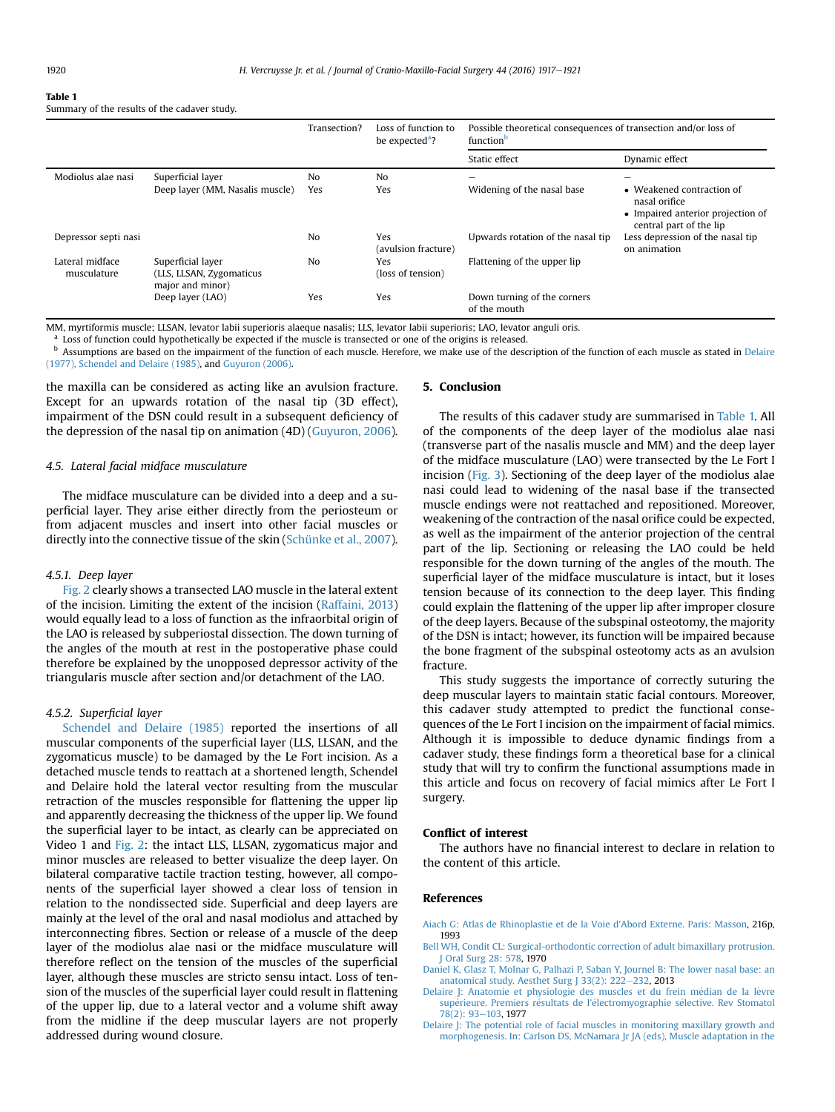#### <span id="page-3-0"></span>Table 1

Summary of the results of the cadaver study.

|                                |                                                                   | Transection?          | Loss of function to<br>be expected <sup>a</sup> ? | Possible theoretical consequences of transection and/or loss of<br>function <sup>b</sup> |                                                                                                                 |
|--------------------------------|-------------------------------------------------------------------|-----------------------|---------------------------------------------------|------------------------------------------------------------------------------------------|-----------------------------------------------------------------------------------------------------------------|
|                                |                                                                   |                       |                                                   | Static effect                                                                            | Dynamic effect                                                                                                  |
| Modiolus alae nasi             | Superficial layer<br>Deep layer (MM, Nasalis muscle)              | N <sub>0</sub><br>Yes | No<br>Yes                                         | $\overline{\phantom{a}}$<br>Widening of the nasal base                                   | -<br>• Weakened contraction of<br>nasal orifice<br>• Impaired anterior projection of<br>central part of the lip |
| Depressor septi nasi           |                                                                   | N <sub>0</sub>        | Yes<br>(avulsion fracture)                        | Upwards rotation of the nasal tip                                                        | Less depression of the nasal tip<br>on animation                                                                |
| Lateral midface<br>musculature | Superficial layer<br>(LLS, LLSAN, Zygomaticus<br>major and minor) | N <sub>0</sub>        | Yes<br>(loss of tension)                          | Flattening of the upper lip                                                              |                                                                                                                 |
|                                | Deep layer (LAO)                                                  | Yes                   | Yes                                               | Down turning of the corners<br>of the mouth                                              |                                                                                                                 |

MM, myrtiformis muscle; LLSAN, levator labii superioris alaeque nasalis; LLS, levator labii superioris; LAO, levator anguli oris.

<sup>a</sup> Loss of function could hypothetically be expected if the muscle is transected or one of the origins is released.

**b** Assumptions are based on the impairment of the function of each muscle. Herefore, we make use of the description of the function of each muscle as stated in Delaire (1977), Schendel and Delaire (1985), and [Guyuron \(2006\).](#page-4-0)

the maxilla can be considered as acting like an avulsion fracture. Except for an upwards rotation of the nasal tip (3D effect), impairment of the DSN could result in a subsequent deficiency of the depression of the nasal tip on animation (4D) ([Guyuron, 2006\)](#page-4-0).

## 4.5. Lateral facial midface musculature

The midface musculature can be divided into a deep and a superficial layer. They arise either directly from the periosteum or from adjacent muscles and insert into other facial muscles or directly into the connective tissue of the skin [\(Schünke et al., 2007\)](#page-4-0).

## 4.5.1. Deep layer

[Fig. 2](#page-2-0) clearly shows a transected LAO muscle in the lateral extent of the incision. Limiting the extent of the incision [\(Raffaini, 2013\)](#page-4-0) would equally lead to a loss of function as the infraorbital origin of the LAO is released by subperiostal dissection. The down turning of the angles of the mouth at rest in the postoperative phase could therefore be explained by the unopposed depressor activity of the triangularis muscle after section and/or detachment of the LAO.

#### 4.5.2. Superficial layer

[Schendel and Delaire \(1985\)](#page-4-0) reported the insertions of all muscular components of the superficial layer (LLS, LLSAN, and the zygomaticus muscle) to be damaged by the Le Fort incision. As a detached muscle tends to reattach at a shortened length, Schendel and Delaire hold the lateral vector resulting from the muscular retraction of the muscles responsible for flattening the upper lip and apparently decreasing the thickness of the upper lip. We found the superficial layer to be intact, as clearly can be appreciated on Video 1 and [Fig. 2:](#page-2-0) the intact LLS, LLSAN, zygomaticus major and minor muscles are released to better visualize the deep layer. On bilateral comparative tactile traction testing, however, all components of the superficial layer showed a clear loss of tension in relation to the nondissected side. Superficial and deep layers are mainly at the level of the oral and nasal modiolus and attached by interconnecting fibres. Section or release of a muscle of the deep layer of the modiolus alae nasi or the midface musculature will therefore reflect on the tension of the muscles of the superficial layer, although these muscles are stricto sensu intact. Loss of tension of the muscles of the superficial layer could result in flattening of the upper lip, due to a lateral vector and a volume shift away from the midline if the deep muscular layers are not properly addressed during wound closure.

#### 5. Conclusion

The results of this cadaver study are summarised in Table 1. All of the components of the deep layer of the modiolus alae nasi (transverse part of the nasalis muscle and MM) and the deep layer of the midface musculature (LAO) were transected by the Le Fort I incision ([Fig. 3](#page-2-0)). Sectioning of the deep layer of the modiolus alae nasi could lead to widening of the nasal base if the transected muscle endings were not reattached and repositioned. Moreover, weakening of the contraction of the nasal orifice could be expected, as well as the impairment of the anterior projection of the central part of the lip. Sectioning or releasing the LAO could be held responsible for the down turning of the angles of the mouth. The superficial layer of the midface musculature is intact, but it loses tension because of its connection to the deep layer. This finding could explain the flattening of the upper lip after improper closure of the deep layers. Because of the subspinal osteotomy, the majority of the DSN is intact; however, its function will be impaired because the bone fragment of the subspinal osteotomy acts as an avulsion fracture.

This study suggests the importance of correctly suturing the deep muscular layers to maintain static facial contours. Moreover, this cadaver study attempted to predict the functional consequences of the Le Fort I incision on the impairment of facial mimics. Although it is impossible to deduce dynamic findings from a cadaver study, these findings form a theoretical base for a clinical study that will try to confirm the functional assumptions made in this article and focus on recovery of facial mimics after Le Fort I surgery.

## Conflict of interest

The authors have no financial interest to declare in relation to the content of this article.

### References

- [Aiach G: Atlas de Rhinoplastie et de la Voie d'Abord Externe. Paris: Masson,](http://refhub.elsevier.com/S1010-5182(16)30201-3/sref1) 216p, 1993
- [Bell WH, Condit CL: Surgical-orthodontic correction of adult bimaxillary protrusion.](http://refhub.elsevier.com/S1010-5182(16)30201-3/sref2) [J Oral Surg 28: 578,](http://refhub.elsevier.com/S1010-5182(16)30201-3/sref2) 1970
- [Daniel K, Glasz T, Molnar G, Palhazi P, Saban Y, Journel B: The lower nasal base: an](http://refhub.elsevier.com/S1010-5182(16)30201-3/sref3) anatomical study. Aesthet Surg J 33(2):  $222-232$  $222-232$ , 2013
- Delaire J: Anatomie et physiologie des muscles et du frein médian de la lèvre supérieure. Premiers résultats de l'é[lectromyographie s](http://refhub.elsevier.com/S1010-5182(16)30201-3/sref4)élective. Rev Stomatol [78\(2\): 93](http://refhub.elsevier.com/S1010-5182(16)30201-3/sref4)-[103,](http://refhub.elsevier.com/S1010-5182(16)30201-3/sref4) 1977
- [Delaire J: The potential role of facial muscles in monitoring maxillary growth and](http://refhub.elsevier.com/S1010-5182(16)30201-3/sref5) [morphogenesis. In: Carlson DS, McNamara Jr JA \(eds\), Muscle adaptation in the](http://refhub.elsevier.com/S1010-5182(16)30201-3/sref5)